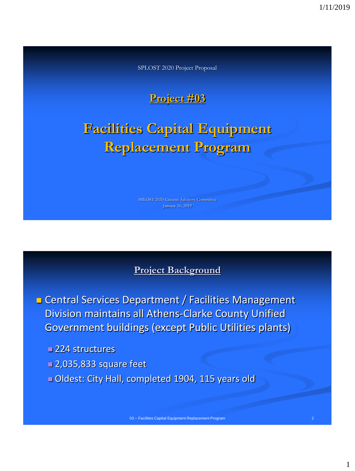SPLOST 2020 Project Proposal

# **Project #03**

# **Facilities Capital Equipment Replacement Program**

SPLOST 2020 Citizens Advisory Committee

#### **Project Background**

**Exercise** Central Services Department / Facilities Management Division maintains all Athens-Clarke County Unified Government buildings (except Public Utilities plants)

■224 structures

- 2,035,833 square feet
- Oldest: City Hall, completed 1904, 115 years old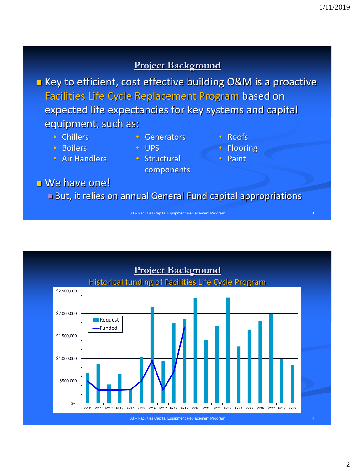#### **Project Background**

**EXECT** Key to efficient, cost effective building O&M is a proactive Facilities Life Cycle Replacement Program based on expected life expectancies for key systems and capital equipment, such as:

- Chillers
- Boilers
- Air Handlers
- Generators
- UPS
- Structural components
- Roofs
- **Flooring**
- Paint

■ We have one!

But, it relies on annual General Fund capital appropriations

03 – Facilities Capital Equipment Replacement Program

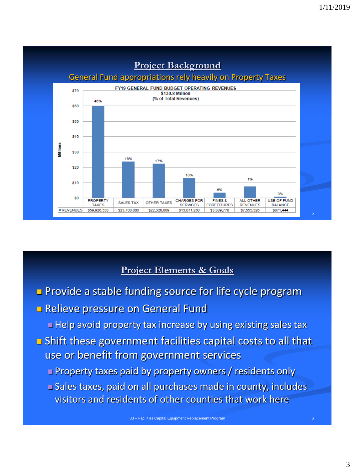

## **Project Elements & Goals**

- **Provide a stable funding source for life cycle program**
- **B** Relieve pressure on General Fund
	- Help avoid property tax increase by using existing sales tax
- Shift these government facilities capital costs to all that use or benefit from government services
	- Property taxes paid by property owners / residents only
	- Sales taxes, paid on all purchases made in county, includes visitors and residents of other counties that work here